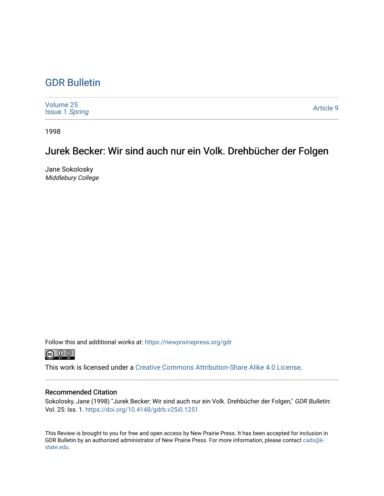## [GDR Bulletin](https://newprairiepress.org/gdr)

| Volume 25<br><b>Issue 1 Spring</b> | Article 9 |
|------------------------------------|-----------|
|------------------------------------|-----------|

1998

# Jurek Becker: Wir sind auch nur ein Volk. Drehbücher der Folgen

Jane Sokolosky Middlebury College

Follow this and additional works at: [https://newprairiepress.org/gdr](https://newprairiepress.org/gdr?utm_source=newprairiepress.org%2Fgdr%2Fvol25%2Fiss1%2F9&utm_medium=PDF&utm_campaign=PDFCoverPages) 



This work is licensed under a [Creative Commons Attribution-Share Alike 4.0 License.](https://creativecommons.org/licenses/by-sa/4.0/)

### Recommended Citation

Sokolosky, Jane (1998) "Jurek Becker: Wir sind auch nur ein Volk. Drehbücher der Folgen," GDR Bulletin: Vol. 25: Iss. 1.<https://doi.org/10.4148/gdrb.v25i0.1251>

This Review is brought to you for free and open access by New Prairie Press. It has been accepted for inclusion in GDR Bulletin by an authorized administrator of New Prairie Press. For more information, please contact [cads@k](mailto:cads@k-state.edu)[state.edu](mailto:cads@k-state.edu).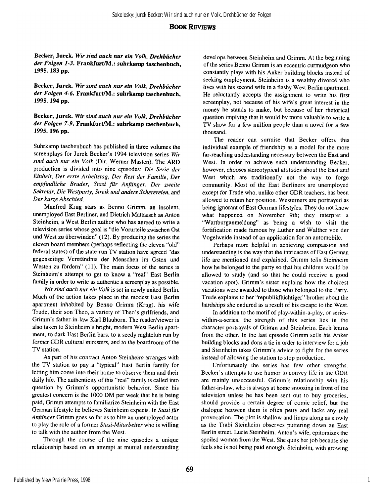### **BOOK REVIEWS**

**Becker, Jurek.** *Wir sind auch nur ein Volk. Drehbücher der Folgen 1-3.* **Frankfurt/M.: suhrkamp taschenbuch, 1995.183 pp.** 

**Becker, Jurek.** *Wir sind auch nur ein Volk. Drehbücher der Folgen 4-6.* **Frankfurt/M.: suhrkamp taschenbuch, 1995.194 pp.** 

**Becker, Jurek.** *Wir sind auch nur ein Volk. Drehbücher der Folgen 7-9.* **Frankfurt/M.: suhrkamp taschenbuch, 1995.196 pp.** 

Suhrkamp taschenbuch has published in three volumes the screenplays for Jurek Becker's 1994 television series *Wir sind auch nur ein Volk* (Dir. Werner Masten). The ARD production is divided into nine episodes: *Die Serie der Einheit, Der erste Arbeitstag, Der Rest der Familie, Der empfindliche Bruder, Stasi für Anfänger, Der zweite Sekretär, Die Westparty, Streik und andere Scherereien,* and *Der kurze Abschied.* 

Manfred Krug stars as Benno Grimm, an insolent, unemployed East Berliner, and Dietrich Mattausch as Anton Steinheim, a West Berlin author who has agreed to write a television series whose goal is "die Vorurteile zwischen Ost und West zu überwinden" (12). By producing the series the eleven board members (perhaps reflecting the eleven "old" federal states) of the state-run TV station have agreed "das gegenseitige Verständnis der Menschen im Osten und Westen zu fördern" (11). The main focus of the series is Steinheim's attempt to get to know a "real" East Berlin family in order to write as authentic a screenplay as possible.

*Wir sind auch nur ein Volk* is set in newly united Berlin. Much of the action takes place in the modest East Berlin apartment inhabited by Benno Grimm (Krug), his wife Trude, their son Theo, a variety of Theo's girlfriends, and Grimm's father-in-law Karl Blauhorn. The reader/viewer is also taken to Steinheim's bright, modern West Berlin apartment, to dark East Berlin bars, to a seedy nightclub run by former GDR cultural ministers, and to the boardroom of the TV station.

As part of his contract Anton Steinheim arranges with the TV station to pay a "typical" East Berlin family for letting him come into their home to observe them and their daily life. The authenticity of this "real" family is called into question by Grimm's opportunistic behavior. Since his greatest concern is the 1000 DM per week that he is being paid, Grimm attempts to familiarize Steinheim with the East German lifestyle he believes Steinheim expects. In *Stasi für Anfänger* Grimm goes so far as to hire an unemployed actor to play the role of a former *Stasi-Mitarbeiter* who is willing to talk with the author from the West.

Through the course of the nine episodes a unique relationship based on an attempt at mutual understanding

develops between Steinheim and Grimm. At the beginning of the series Benno Grimm is an eccentric curmudgeon who constantly plays with his Anker building blocks instead of seeking employment. Steinheim is a wealthy divorcé who lives with his second wife in a flashy West Berlin apartment. He reluctantly accepts the assignment to write his first screenplay, not because of his wife's great interest in the money he stands to make, but because of her rhetorical question implying that it would by more valuable to write a TV show for a few million people than a novel for a few thousand.

The reader can surmise that Becker offers this individual example of friendship as a model for the more far-reaching understanding necessary between the East and West. In order to achieve such understanding Becker, however, chooses stereotypical attitudes about the East and West which are traditionally not the way to forge community. Most of the East Berliners are unemployed except for Trude who, unlike other GDR teachers, has been allowed to retain her position. Westerners are portrayed as being ignorant of East German lifestyles. They do not know what happened on November 9th; they interpret a "Wartburganmeldung" as being a wish to visit the fortification made famous by Luther and Walther von der Vogelweide instead of an application for an automobile.

Perhaps more helpful in achieving compassion and understanding is the way that the intricacies of East German life are mentioned and explained. Grimm tells Steinheim how he belonged to the party so that his children would be allowed to study (and so that he could receive a good vacation spot). Grimm's sister explains how the choicest vacations were awarded to those who belonged to the Party. Trude explains to her "republikflüchtiger" brother about the hardships she endured as a result of his escape to the West.

In addition to the motif of play-within-a-play, or serieswithin-a-series, the strength of this series lies in the character portrayals of Grimm and Steinheim. Each learns from the other. In the last episode Grimm sells his Anker building blocks and dons a tie in order to interview for a job and Steinheim takes Grimm's advice to fight for the series instead of allowing the station to stop production.

Unfortunately the series has few other strengths. Becker's attempts to use humor to convey life in the GDR are mainly unsuccessful. Grimm's relationship with his father-in-law, who is always at home snoozing in front of the television unless he has been sent out to buy groceries, should provide a certain degree of comic relief, but the dialogue between them is often petty and lacks any real provocation. The plot is shallow and limps along as slowly as the Trabi Steinheim observes puttering down an East Berlin street. Lucie Steinheim, Anton's wife, epitomizes the spoiled woman from the West. She quits her job because she feels she is not being paid enough. Steinheim, with growing